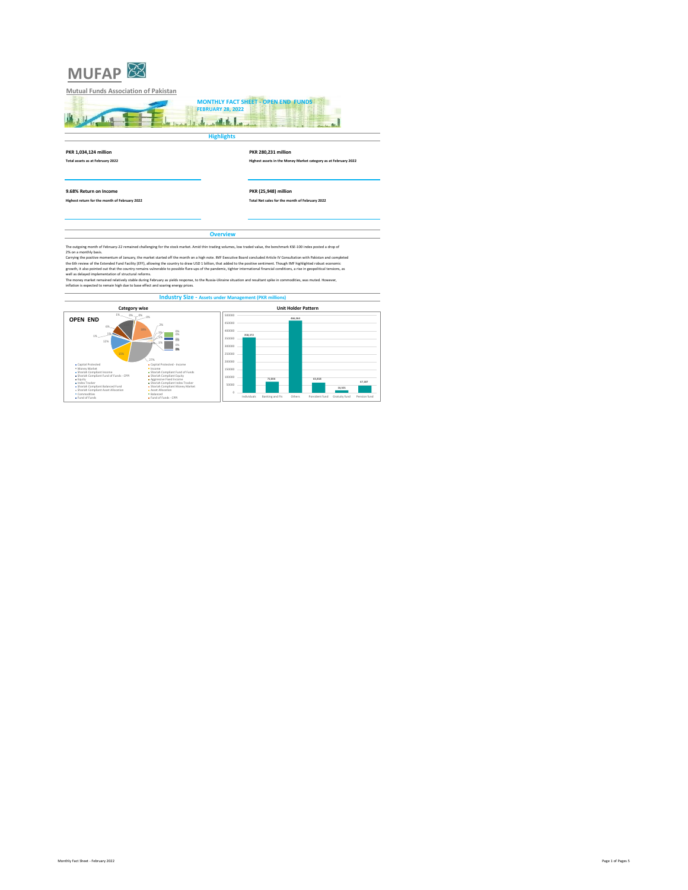



**Total assets as at February 2022 Highest assets in the Money Market category as at February 2022**

**9.68% Return on Income PKR (25,948) million Highest return for the month of February 2022 Total Net sales for the month of February 2022**

**Overview**

The outgoing month of February-22 remained challenging for the stock market. Amid thin trading volumes, low traded value, the benchmark KSE-100 index posted a drop of<br>Carrying the positive momentum of January, the market s

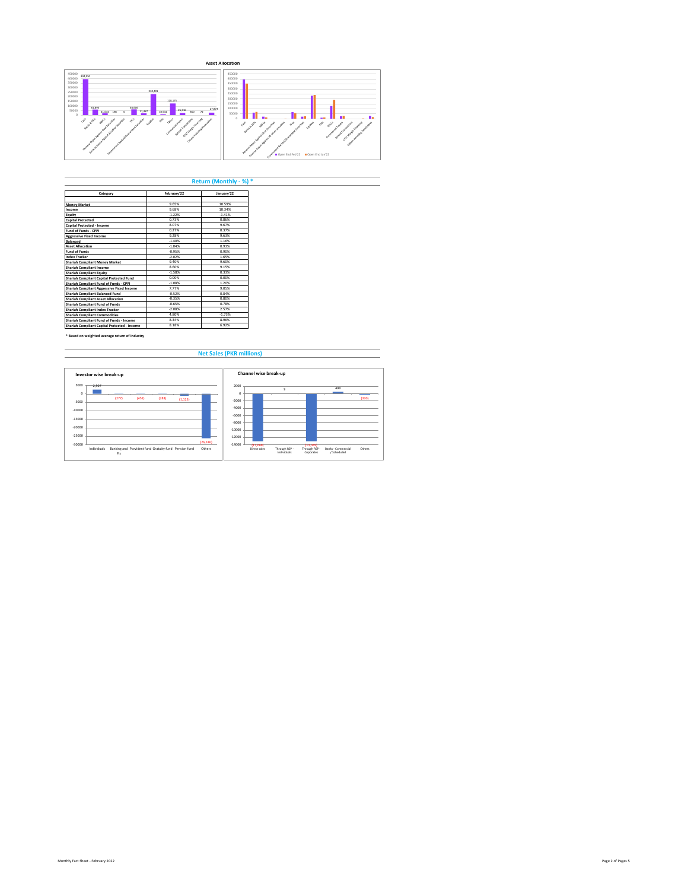

**Return (Monthly - %) \***

| Category                                     | February'22 | January'22 |
|----------------------------------------------|-------------|------------|
|                                              |             |            |
| <b>Money Market</b>                          | 965%        | 10.59%     |
| Income                                       | 968%        | 10 34%     |
| Eauity                                       | $-1.22%$    | $-1.41%$   |
| <b>Capital Protected</b>                     | 0.73%       | 0.86%      |
| Capital Protected - Income                   | 8.07%       | 9.67%      |
| Fund of Funds - CPPI                         | 0.27%       | 0.37%      |
| <b>Aggressive Fixed Income</b>               | 9 28%       | 9.63%      |
| <b>Balanced</b>                              | $-1.40%$    | 1 1 6%     |
| <b>Asset Allocation</b>                      | $-1.04%$    | 0.93%      |
| <b>Fund of Funds</b>                         | $-0.95%$    | 0.90%      |
| <b>Index Tracker</b>                         | $-2.02%$    | 1.65%      |
| <b>Shariah Compliant Money Market</b>        | 9 40%       | 9.60%      |
| Shariah Compliant Income                     | 8.60%       | 9 1 5%     |
| <b>Shariah Compliant Equity</b>              | $-1.58%$    | 0.33%      |
| Shariah Compliant Capital Protected Fund     | n nnss      | 0.00%      |
| Shariah Compliant Fund of Funds - CPPI       | $-1.08%$    | 1.20%      |
| Shariah Compliant Aggressive Fixed Income    | 7 7 7 %     | 9.05%      |
| Shariah Compliant Balanced Fund              | $-0.52%$    | 0.84%      |
| <b>Shariah Compliant Asset Allocation</b>    | $-0.35%$    | 0.80%      |
| Shariah Compliant Fund of Funds              | $-0.65%$    | 0.78%      |
| Shariah Compliant Index Tracker              | $-2.08%$    | 2.57%      |
| <b>Shariah Compliant Commodities</b>         | 4 80%       | $-1.73%$   |
| Shariah Compliant Fund of Funds - Income     | 8.34%       | 8.96%      |
| Shariah Compliant Capital Protected - Income | 8 1 8%      | 6.97%      |

**\* Based on weighted average return of industry**

 **Net Sales (PKR millions)**

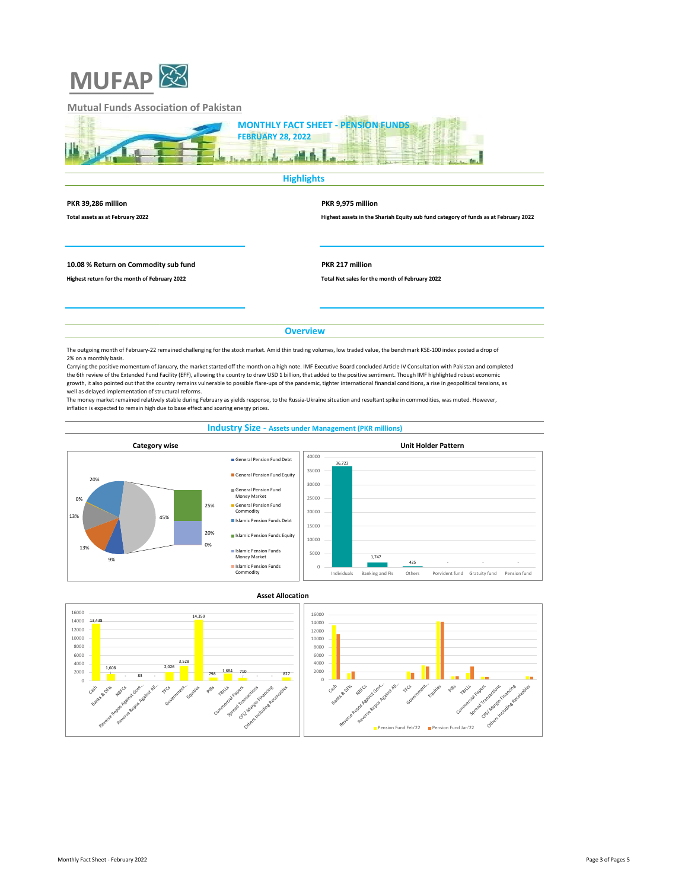

## **Mutual Funds Association of Pakistan**

| <b>MONTHLY FACT SHEET - PENSION FUNDS</b> |
|-------------------------------------------|
| <b>FEBRUARY 28, 2022</b>                  |
|                                           |
|                                           |

**Highlights** 

| PKR 39,286 million |  |  |
|--------------------|--|--|
|                    |  |  |

**PKR 39,286 million PKR 9,975 million**

**Total assets as at February 2022 Highest assets in the Shariah Equity sub fund category of funds as at February 2022**

**10.08 % Return on Commodity sub fund PKR 217 million**

**Highest return for the month of February 2022 Total Net sales for the month of February 2022**

**Overview**

The outgoing month of February-22 remained challenging for the stock market. Amid thin trading volumes, low traded value, the benchmark KSE-100 index posted a drop of 2% on a monthly basis.

Carrying the positive momentum of January, the market started off the month on a high note. IMF Executive Board concluded Article IV Consultation with Pakistan and completed<br>the 6th review of the Extended Fund Facility (EF growth, it also pointed out that the country remains vulnerable to possible flare-ups of the pandemic, tighter international financial conditions, a rise in geopolitical tensions, as well as delayed implementation of structural reforms.

The money market remained relatively stable during February as yields response, to the Russia-Ukraine situation and resultant spike in commodities, was muted. However, inflation is expected to remain high due to base effect and soaring energy prices.

## **Industry Size - Assets under Management (PKR millions)**



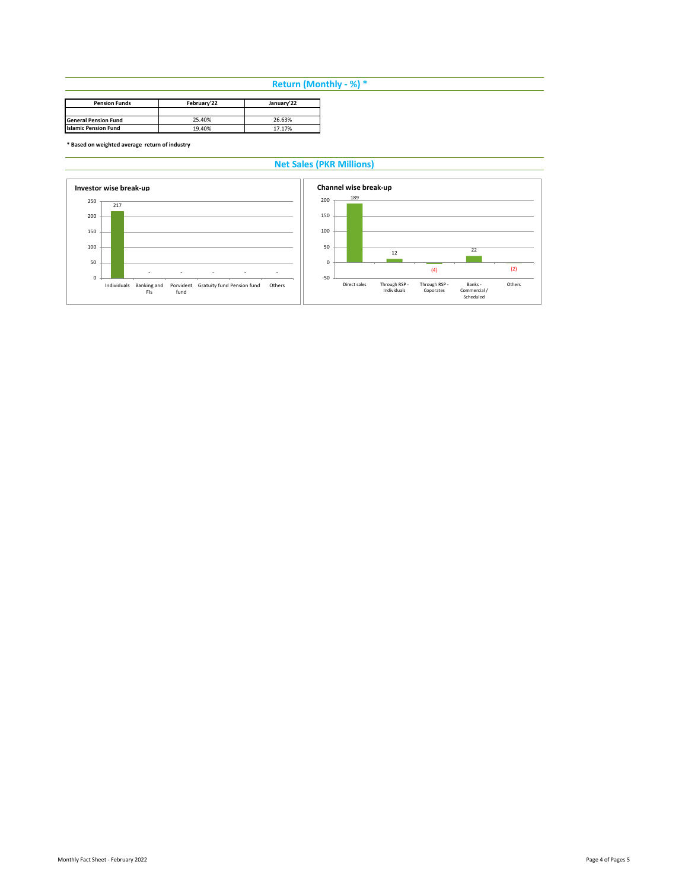# **Return (Monthly - %) \***

| <b>Pension Funds</b>        | February'22 | January'22 |  |
|-----------------------------|-------------|------------|--|
|                             |             |            |  |
| <b>General Pension Fund</b> | 25.40%      | 26.63%     |  |
| <b>Islamic Pension Fund</b> | 19.40%      | 17.17%     |  |

**\* Based on weighted average return of industry**